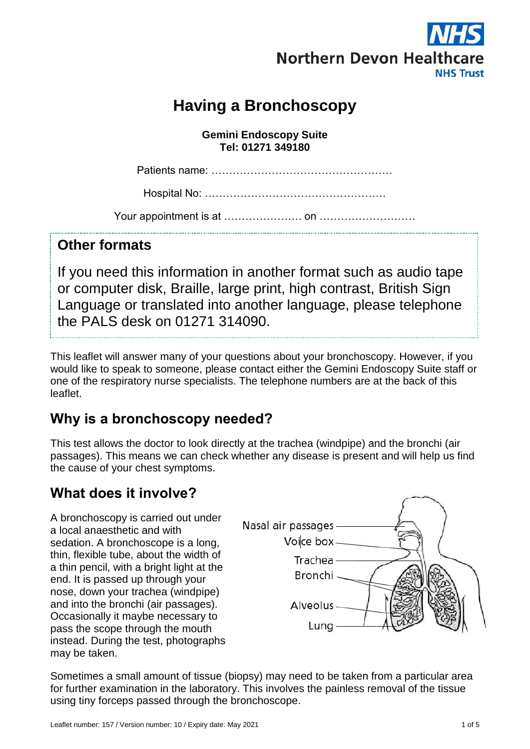

# **Having a Bronchoscopy**

**Gemini Endoscopy Suite Tel: 01271 349180**

Patients name: ……………………………………………

Hospital No: ……………………………………………

Your appointment is at …………………. on ………………………

#### **Other formats**

If you need this information in another format such as audio tape or computer disk, Braille, large print, high contrast, British Sign Language or translated into another language, please telephone the PALS desk on 01271 314090.

This leaflet will answer many of your questions about your bronchoscopy. However, if you would like to speak to someone, please contact either the Gemini Endoscopy Suite staff or one of the respiratory nurse specialists. The telephone numbers are at the back of this leaflet.

### **Why is a bronchoscopy needed?**

This test allows the doctor to look directly at the trachea (windpipe) and the bronchi (air passages). This means we can check whether any disease is present and will help us find the cause of your chest symptoms.

## **What does it involve?**

A bronchoscopy is carried out under a local anaesthetic and with sedation. A bronchoscope is a long, thin, flexible tube, about the width of a thin pencil, with a bright light at the end. It is passed up through your nose, down your trachea (windpipe) and into the bronchi (air passages). Occasionally it maybe necessary to pass the scope through the mouth instead. During the test, photographs may be taken.



Sometimes a small amount of tissue (biopsy) may need to be taken from a particular area for further examination in the laboratory. This involves the painless removal of the tissue using tiny forceps passed through the bronchoscope.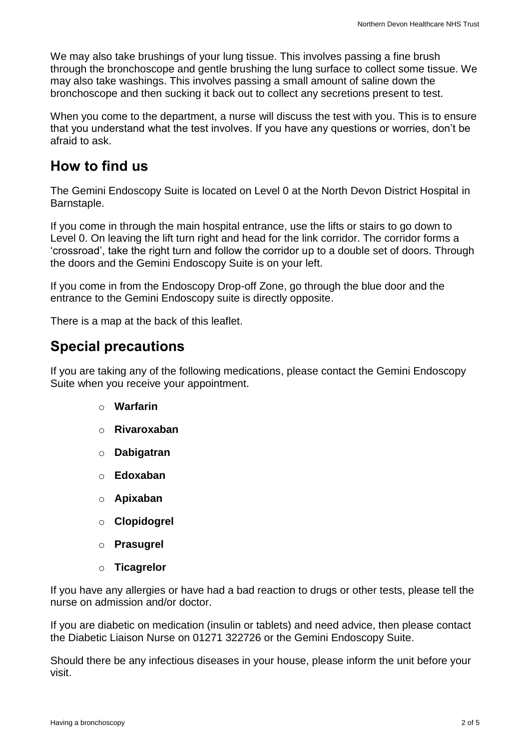We may also take brushings of your lung tissue. This involves passing a fine brush through the bronchoscope and gentle brushing the lung surface to collect some tissue. We may also take washings. This involves passing a small amount of saline down the bronchoscope and then sucking it back out to collect any secretions present to test.

When you come to the department, a nurse will discuss the test with you. This is to ensure that you understand what the test involves. If you have any questions or worries, don't be afraid to ask.

#### **How to find us**

The Gemini Endoscopy Suite is located on Level 0 at the North Devon District Hospital in Barnstaple.

If you come in through the main hospital entrance, use the lifts or stairs to go down to Level 0. On leaving the lift turn right and head for the link corridor. The corridor forms a 'crossroad', take the right turn and follow the corridor up to a double set of doors. Through the doors and the Gemini Endoscopy Suite is on your left.

If you come in from the Endoscopy Drop-off Zone, go through the blue door and the entrance to the Gemini Endoscopy suite is directly opposite.

There is a map at the back of this leaflet.

#### **Special precautions**

If you are taking any of the following medications, please contact the Gemini Endoscopy Suite when you receive your appointment.

- o **Warfarin**
- o **Rivaroxaban**
- o **Dabigatran**
- o **Edoxaban**
- o **Apixaban**
- o **Clopidogrel**
- o **Prasugrel**
- o **Ticagrelor**

If you have any allergies or have had a bad reaction to drugs or other tests, please tell the nurse on admission and/or doctor.

If you are diabetic on medication (insulin or tablets) and need advice, then please contact the Diabetic Liaison Nurse on 01271 322726 or the Gemini Endoscopy Suite.

Should there be any infectious diseases in your house, please inform the unit before your visit.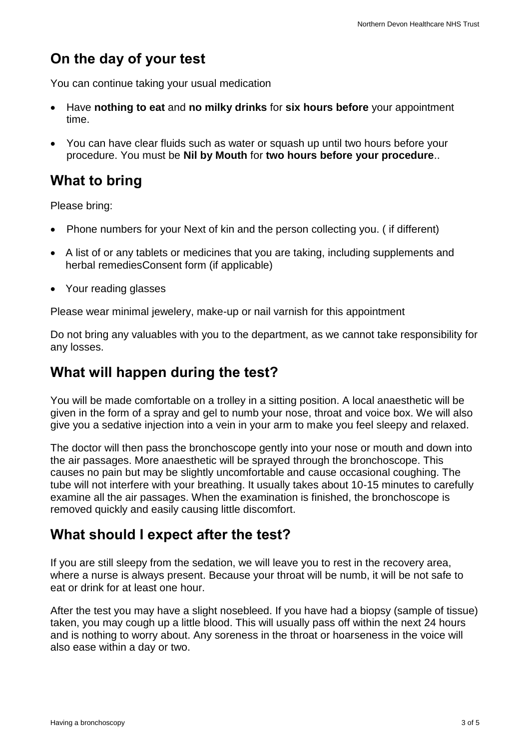## **On the day of your test**

You can continue taking your usual medication

- Have **nothing to eat** and **no milky drinks** for **six hours before** your appointment time.
- You can have clear fluids such as water or squash up until two hours before your procedure. You must be **Nil by Mouth** for **two hours before your procedure**..

## **What to bring**

Please bring:

- Phone numbers for your Next of kin and the person collecting you. (if different)
- A list of or any tablets or medicines that you are taking, including supplements and herbal remediesConsent form (if applicable)
- Your reading glasses

Please wear minimal jewelery, make-up or nail varnish for this appointment

Do not bring any valuables with you to the department, as we cannot take responsibility for any losses.

#### **What will happen during the test?**

You will be made comfortable on a trolley in a sitting position. A local anaesthetic will be given in the form of a spray and gel to numb your nose, throat and voice box. We will also give you a sedative injection into a vein in your arm to make you feel sleepy and relaxed.

The doctor will then pass the bronchoscope gently into your nose or mouth and down into the air passages. More anaesthetic will be sprayed through the bronchoscope. This causes no pain but may be slightly uncomfortable and cause occasional coughing. The tube will not interfere with your breathing. It usually takes about 10-15 minutes to carefully examine all the air passages. When the examination is finished, the bronchoscope is removed quickly and easily causing little discomfort.

## **What should I expect after the test?**

If you are still sleepy from the sedation, we will leave you to rest in the recovery area, where a nurse is always present. Because your throat will be numb, it will be not safe to eat or drink for at least one hour.

After the test you may have a slight nosebleed. If you have had a biopsy (sample of tissue) taken, you may cough up a little blood. This will usually pass off within the next 24 hours and is nothing to worry about. Any soreness in the throat or hoarseness in the voice will also ease within a day or two.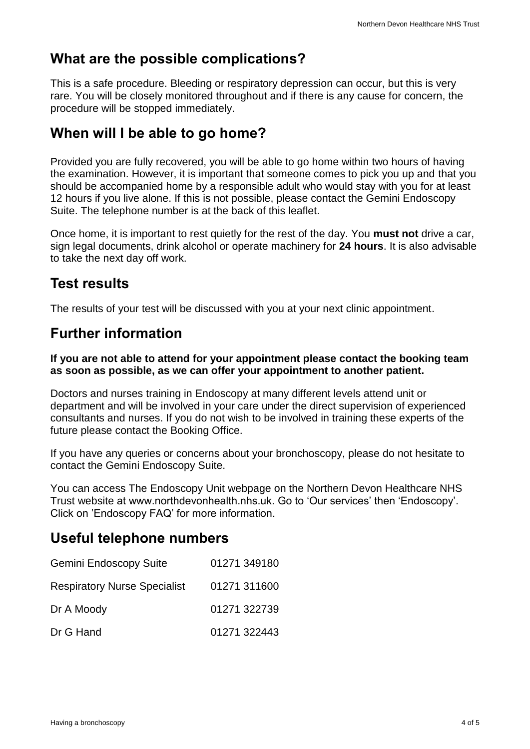## **What are the possible complications?**

This is a safe procedure. Bleeding or respiratory depression can occur, but this is very rare. You will be closely monitored throughout and if there is any cause for concern, the procedure will be stopped immediately.

## **When will I be able to go home?**

Provided you are fully recovered, you will be able to go home within two hours of having the examination. However, it is important that someone comes to pick you up and that you should be accompanied home by a responsible adult who would stay with you for at least 12 hours if you live alone. If this is not possible, please contact the Gemini Endoscopy Suite. The telephone number is at the back of this leaflet.

Once home, it is important to rest quietly for the rest of the day. You **must not** drive a car, sign legal documents, drink alcohol or operate machinery for **24 hours**. It is also advisable to take the next day off work.

#### **Test results**

The results of your test will be discussed with you at your next clinic appointment.

## **Further information**

**If you are not able to attend for your appointment please contact the booking team as soon as possible, as we can offer your appointment to another patient.** 

Doctors and nurses training in Endoscopy at many different levels attend unit or department and will be involved in your care under the direct supervision of experienced consultants and nurses. If you do not wish to be involved in training these experts of the future please contact the Booking Office.

If you have any queries or concerns about your bronchoscopy, please do not hesitate to contact the Gemini Endoscopy Suite.

You can access The Endoscopy Unit webpage on the Northern Devon Healthcare NHS Trust website at www.northdevonhealth.nhs.uk. Go to 'Our services' then 'Endoscopy'. Click on 'Endoscopy FAQ' for more information.

### **Useful telephone numbers**

| <b>Gemini Endoscopy Suite</b>       | 01271 349180 |
|-------------------------------------|--------------|
| <b>Respiratory Nurse Specialist</b> | 01271 311600 |
| Dr A Moody                          | 01271 322739 |
| Dr G Hand                           | 01271 322443 |